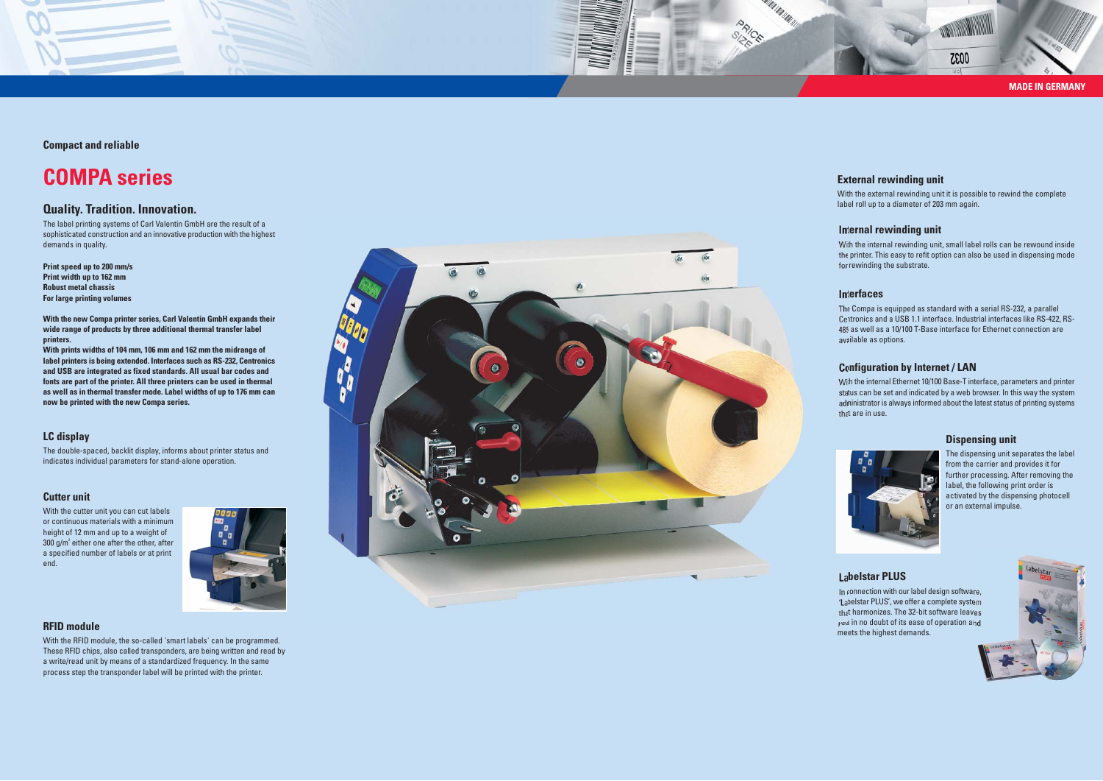#### **Labelstar PLUS**

In connection with our label design software, 'Labelstar PLUS', we offer a complete system that harmonizes. The 32-bit software leaves you in no doubt of its ease of operation and meets the highest demands.



#### **Interfaces**

**MARTINIAN AND ARTICLES** 

**PRICE** 

The Compa is equipped as standard with a serial RS-232, a parallel Centronics and a USB 1.1 interface. Industrial interfaces like RS-422, RS-485 as well as a 10/100 T-Base interface for Ethernet connection are available as options.

#### **External rewinding unit**

With the external rewinding unit it is possible to rewind the complete label roll up to a diameter of 203 mm again.

#### **Internal rewinding unit**

With the internal rewinding unit, small label rolls can be rewound inside the printer. This easy to refit option can also be used in dispensing mode for rewinding the substrate.

## **Configuration by Internet / LAN**

With the internal Ethernet 10/100 Base-T interface, parameters and printer status can be set and indicated by a web browser. In this way the system administrator is always informed about the latest status of printing systems that are in use.



## **Quality. Tradition. Innovation.**

The label printing systems of Carl Valentin GmbH are the result of a sophisticated construction and an innovative production with the highest demands in quality.

**Print speed up to 200 mm/s Print width up to 162 mm Robust metal chassis For large printing volumes**

**With the new Compa printer series, Carl Valentin GmbH expands their wide range of products by three additional thermal transfer label printers.**

**With prints widths of 104 mm, 106 mm and 162 mm the midrange of label printers is being extended. Interfaces such as RS-232, Centronics and USB are integrated as fixed standards. All usual bar codes and fonts are part of the printer. All three printers can be used in thermal as well as in thermal transfer mode. Label widths of up to 176 mm can now be printed with the new Compa series.**



**Compact and reliable**

# **COMPA series**

## **Cutter unit**

With the cutter unit you can cut labels or continuous materials with a minimum height of 12 mm and up to a weight of  $300$  g/m<sup>2</sup> either one after the other, after a specified number of labels or at print end.



## **Dispensing unit**

The dispensing unit separates the label from the carrier and provides it for further processing. After removing the label, the following print order is activated by the dispensing photocell or an external impulse.

## **LC display**

The double-spaced, backlit display, informs about printer status and indicates individual parameters for stand-alone operation.

#### **RFID module**

With the RFID module, the so-called 'smart labels' can be programmed. These RFID chips, also called transponders, are being written and read by a write/read unit by means of a standardized frequency. In the same process step the transponder label will be printed with the printer.